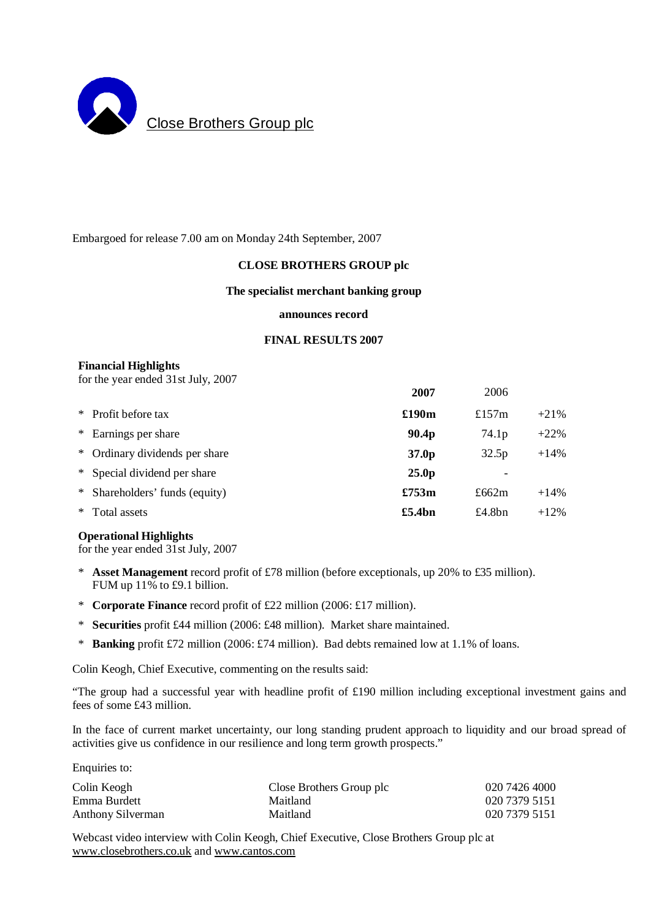

Embargoed for release 7.00 am on Monday 24th September, 2007

## **CLOSE BROTHERS GROUP plc**

#### **The specialist merchant banking group**

#### **announces record**

#### **FINAL RESULTS 2007**

#### **Financial Highlights**

for the year ended 31st July, 2007

|        |                                | 2007              | 2006      |         |
|--------|--------------------------------|-------------------|-----------|---------|
|        | * Profit before tax            | £190m             | £157 $m$  | $+21%$  |
|        | * Earnings per share           | 90.4p             | 74.1p     | $+22\%$ |
|        | * Ordinary dividends per share | 37.0 <sub>p</sub> | 32.5p     | $+14%$  |
|        | * Special dividend per share   | 25.0 <sub>p</sub> |           |         |
|        | * Shareholders' funds (equity) | £753m             | £662 $m$  | $+14%$  |
| $\ast$ | Total assets                   | £5.4bn            | £4.8 $bn$ | $+12%$  |

#### **Operational Highlights**

for the year ended 31st July, 2007

- \* **Asset Management** record profit of £78 million (before exceptionals, up 20% to £35 million). FUM up 11% to £9.1 billion.
- \* **Corporate Finance** record profit of £22 million (2006: £17 million).
- \* **Securities** profit £44 million (2006: £48 million). Market share maintained.
- \* **Banking** profit £72 million (2006: £74 million). Bad debts remained low at 1.1% of loans.

Colin Keogh, Chief Executive, commenting on the results said:

"The group had a successful year with headline profit of £190 million including exceptional investment gains and fees of some £43 million.

In the face of current market uncertainty, our long standing prudent approach to liquidity and our broad spread of activities give us confidence in our resilience and long term growth prospects."

Enquiries to:

| Colin Keogh       | Close Brothers Group plc | 020 7426 4000 |
|-------------------|--------------------------|---------------|
| Emma Burdett      | Maitland                 | 020 7379 5151 |
| Anthony Silverman | Maitland                 | 020 7379 5151 |

Webcast video interview with Colin Keogh, Chief Executive, Close Brothers Group plc at [www.closebrothers.co.uk](http://www.closebrothers.co.uk) and [www.cantos.com](http://www.cantos.com)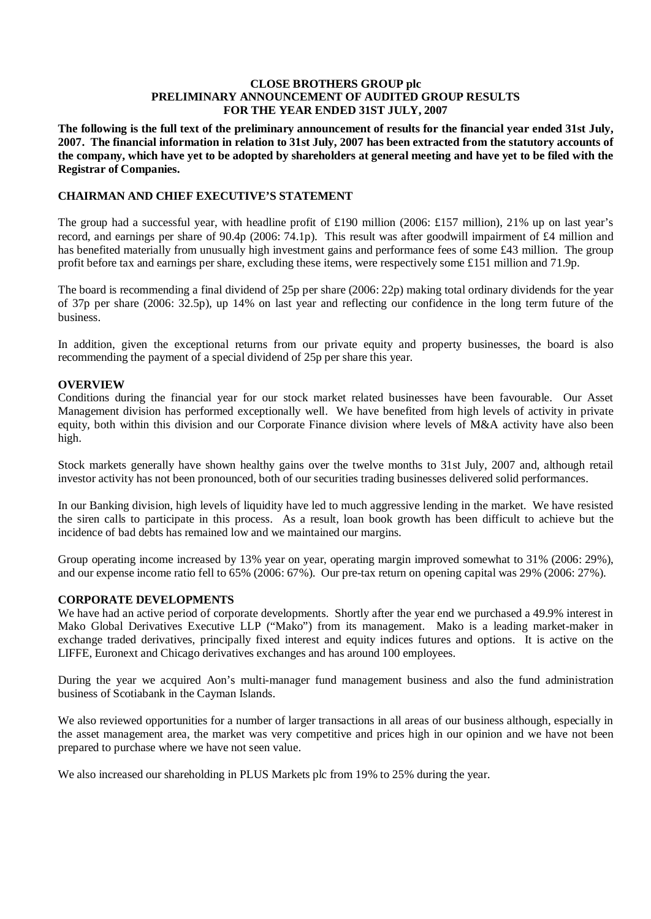#### **CLOSE BROTHERS GROUP plc PRELIMINARY ANNOUNCEMENT OF AUDITED GROUP RESULTS FOR THE YEAR ENDED 31ST JULY, 2007**

The following is the full text of the preliminary announcement of results for the financial year ended 31st July, 2007. The financial information in relation to 31st July, 2007 has been extracted from the statutory accounts of the company, which have yet to be adopted by shareholders at general meeting and have yet to be filed with the **Registrar of Companies.** 

## **CHAIRMAN AND CHIEF EXECUTIVE'S STATEMENT**

The group had a successful year, with headline profit of £190 million (2006: £157 million), 21% up on last year's record, and earnings per share of 90.4p (2006: 74.1p). This result was after goodwill impairment of £4 million and has benefited materially from unusually high investment gains and performance fees of some £43 million. The group profit before tax and earnings per share, excluding these items, were respectively some £151 million and 71.9p.

The board is recommending a final dividend of 25p per share (2006: 22p) making total ordinary dividends for the year of 37p per share (2006: 32.5p), up 14% on last year and reflecting our confidence in the long term future of the business.

In addition, given the exceptional returns from our private equity and property businesses, the board is also recommending the payment of a special dividend of 25p per share this year.

## **OVERVIEW**

Conditions during the financial year for our stock market related businesses have been favourable. Our Asset Management division has performed exceptionally well. We have benefited from high levels of activity in private equity, both within this division and our Corporate Finance division where levels of M&A activity have also been high.

Stock markets generally have shown healthy gains over the twelve months to 31st July, 2007 and, although retail investor activity has not been pronounced, both of our securities trading businesses delivered solid performances.

In our Banking division, high levels of liquidity have led to much aggressive lending in the market. We have resisted the siren calls to participate in this process. As a result, loan book growth has been difficult to achieve but the incidence of bad debts has remained low and we maintained our margins.

Group operating income increased by 13% year on year, operating margin improved somewhat to 31% (2006: 29%), and our expense income ratio fell to 65% (2006: 67%). Our pre-tax return on opening capital was 29% (2006: 27%).

## **CORPORATE DEVELOPMENTS**

We have had an active period of corporate developments. Shortly after the year end we purchased a 49.9% interest in Mako Global Derivatives Executive LLP ("Mako") from its management. Mako is a leading market-maker in exchange traded derivatives, principally fixed interest and equity indices futures and options. It is active on the LIFFE, Euronext and Chicago derivatives exchanges and has around 100 employees.

During the year we acquired Aon's multi-manager fund management business and also the fund administration business of Scotiabank in the Cayman Islands.

We also reviewed opportunities for a number of larger transactions in all areas of our business although, especially in the asset management area, the market was very competitive and prices high in our opinion and we have not been prepared to purchase where we have not seen value.

We also increased our shareholding in PLUS Markets plc from 19% to 25% during the year.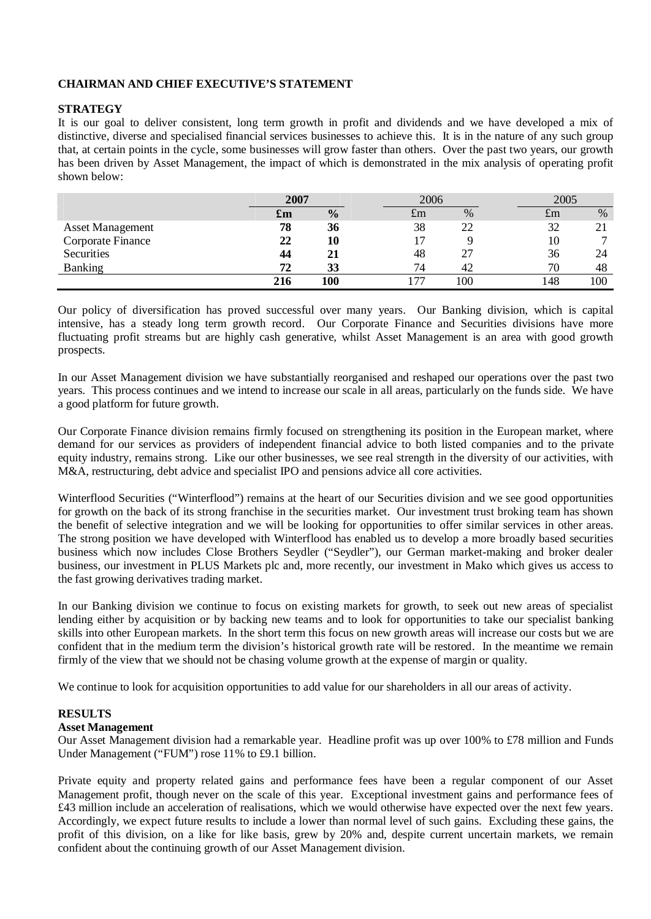## **CHAIRMAN AND CHIEF EXECUTIVE'S STATEMENT**

#### **STRATEGY**

It is our goal to deliver consistent, long term growth in profit and dividends and we have developed a mix of distinctive, diverse and specialised financial services businesses to achieve this. It is in the nature of any such group that, at certain points in the cycle, some businesses will grow faster than others. Over the past two years, our growth has been driven by Asset Management, the impact of which is demonstrated in the mix analysis of operating profit shown below:

|                         | 2007 |               | 2006 |      |             | 2005 |
|-------------------------|------|---------------|------|------|-------------|------|
|                         | £m   | $\frac{0}{0}$ | £m   | $\%$ | $t_{\rm m}$ | $\%$ |
| <b>Asset Management</b> | 78   | 36            | 38   |      | 32          |      |
| Corporate Finance       | 22   | 10            |      |      | 10          |      |
| Securities              | 44   | 21            | 48   |      | 36          |      |
| <b>Banking</b>          | 72   | 33            | 74   |      | 70          | 48   |
|                         | 216  | 100           | 77   | 100  | 148         | 100  |

Our policy of diversification has proved successful over many years. Our Banking division, which is capital intensive, has a steady long term growth record. Our Corporate Finance and Securities divisions have more fluctuating profit streams but are highly cash generative, whilst Asset Management is an area with good growth prospects.

In our Asset Management division we have substantially reorganised and reshaped our operations over the past two years. This process continues and we intend to increase our scale in all areas, particularly on the funds side. We have a good platform for future growth.

Our Corporate Finance division remains firmly focused on strengthening its position in the European market, where demand for our services as providers of independent financial advice to both listed companies and to the private equity industry, remains strong. Like our other businesses, we see real strength in the diversity of our activities, with M&A, restructuring, debt advice and specialist IPO and pensions advice all core activities.

Winterflood Securities ("Winterflood") remains at the heart of our Securities division and we see good opportunities for growth on the back of its strong franchise in the securities market. Our investment trust broking team has shown the benefit of selective integration and we will be looking for opportunities to offer similar services in other areas. The strong position we have developed with Winterflood has enabled us to develop a more broadly based securities business which now includes Close Brothers Seydler ("Seydler"), our German market-making and broker dealer business, our investment in PLUS Markets plc and, more recently, our investment in Mako which gives us access to the fast growing derivatives trading market.

In our Banking division we continue to focus on existing markets for growth, to seek out new areas of specialist lending either by acquisition or by backing new teams and to look for opportunities to take our specialist banking skills into other European markets. In the short term this focus on new growth areas will increase our costs but we are confident that in the medium term the division's historical growth rate will be restored. In the meantime we remain firmly of the view that we should not be chasing volume growth at the expense of margin or quality.

We continue to look for acquisition opportunities to add value for our shareholders in all our areas of activity.

#### **RESULTS**

#### **Asset Management**

Our Asset Management division had a remarkable year. Headline profit was up over 100% to £78 million and Funds Under Management ("FUM") rose 11% to £9.1 billion.

Private equity and property related gains and performance fees have been a regular component of our Asset Management profit, though never on the scale of this year. Exceptional investment gains and performance fees of £43 million include an acceleration of realisations, which we would otherwise have expected over the next few years. Accordingly, we expect future results to include a lower than normal level of such gains. Excluding these gains, the profit of this division, on a like for like basis, grew by 20% and, despite current uncertain markets, we remain confident about the continuing growth of our Asset Management division.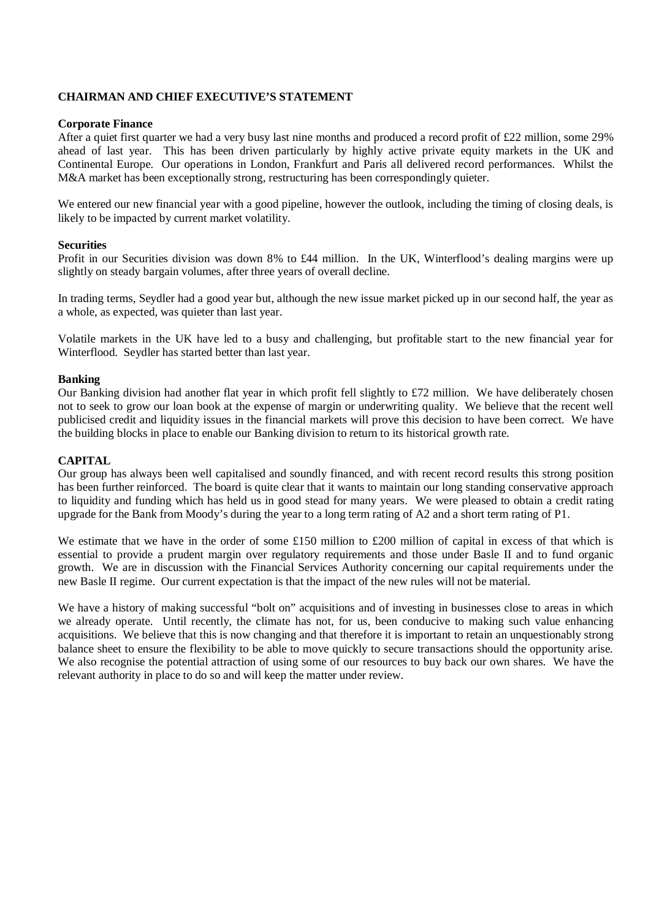## **CHAIRMAN AND CHIEF EXECUTIVE'S STATEMENT**

#### **Corporate Finance**

After a quiet first quarter we had a very busy last nine months and produced a record profit of £22 million, some 29% ahead of last year. This has been driven particularly by highly active private equity markets in the UK and Continental Europe. Our operations in London, Frankfurt and Paris all delivered record performances. Whilst the M&A market has been exceptionally strong, restructuring has been correspondingly quieter.

We entered our new financial year with a good pipeline, however the outlook, including the timing of closing deals, is likely to be impacted by current market volatility.

#### **Securities**

Profit in our Securities division was down 8% to £44 million. In the UK, Winterflood's dealing margins were up slightly on steady bargain volumes, after three years of overall decline.

In trading terms, Seydler had a good year but, although the new issue market picked up in our second half, the year as a whole, as expected, was quieter than last year.

Volatile markets in the UK have led to a busy and challenging, but profitable start to the new financial year for Winterflood. Seydler has started better than last year.

#### **Banking**

Our Banking division had another flat year in which profit fell slightly to £72 million. We have deliberately chosen not to seek to grow our loan book at the expense of margin or underwriting quality. We believe that the recent well publicised credit and liquidity issues in the financial markets will prove this decision to have been correct. We have the building blocks in place to enable our Banking division to return to its historical growth rate.

#### **CAPITAL**

Our group has always been well capitalised and soundly financed, and with recent record results this strong position has been further reinforced. The board is quite clear that it wants to maintain our long standing conservative approach to liquidity and funding which has held us in good stead for many years. We were pleased to obtain a credit rating upgrade for the Bank from Moody's during the year to a long term rating of A2 and a short term rating of P1.

We estimate that we have in the order of some £150 million to £200 million of capital in excess of that which is essential to provide a prudent margin over regulatory requirements and those under Basle II and to fund organic growth. We are in discussion with the Financial Services Authority concerning our capital requirements under the new Basle II regime. Our current expectation is that the impact of the new rules will not be material.

We have a history of making successful "bolt on" acquisitions and of investing in businesses close to areas in which we already operate. Until recently, the climate has not, for us, been conducive to making such value enhancing acquisitions. We believe that this is now changing and that therefore it is important to retain an unquestionably strong balance sheet to ensure the flexibility to be able to move quickly to secure transactions should the opportunity arise. We also recognise the potential attraction of using some of our resources to buy back our own shares. We have the relevant authority in place to do so and will keep the matter under review.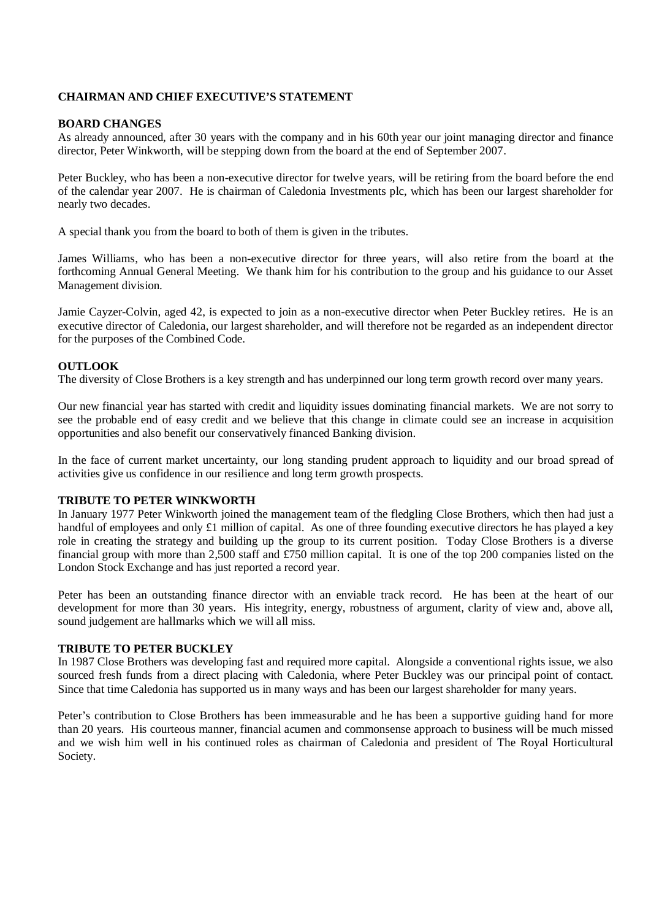## **CHAIRMAN AND CHIEF EXECUTIVE'S STATEMENT**

#### **BOARD CHANGES**

As already announced, after 30 years with the company and in his 60th year our joint managing director and finance director, Peter Winkworth, will be stepping down from the board at the end of September 2007.

Peter Buckley, who has been a non-executive director for twelve years, will be retiring from the board before the end of the calendar year 2007. He is chairman of Caledonia Investments plc, which has been our largest shareholder for nearly two decades.

A special thank you from the board to both of them is given in the tributes.

James Williams, who has been a non-executive director for three years, will also retire from the board at the forthcoming Annual General Meeting. We thank him for his contribution to the group and his guidance to our Asset Management division.

Jamie Cayzer-Colvin, aged 42, is expected to join as a non-executive director when Peter Buckley retires. He is an executive director of Caledonia, our largest shareholder, and will therefore not be regarded as an independent director for the purposes of the Combined Code.

#### **OUTLOOK**

The diversity of Close Brothers is a key strength and has underpinned our long term growth record over many years.

Our new financial year has started with credit and liquidity issues dominating financial markets. We are not sorry to see the probable end of easy credit and we believe that this change in climate could see an increase in acquisition opportunities and also benefit our conservatively financed Banking division.

In the face of current market uncertainty, our long standing prudent approach to liquidity and our broad spread of activities give us confidence in our resilience and long term growth prospects.

#### **TRIBUTE TO PETER WINKWORTH**

In January 1977 Peter Winkworth joined the management team of the fledgling Close Brothers, which then had just a handful of employees and only £1 million of capital. As one of three founding executive directors he has played a key role in creating the strategy and building up the group to its current position. Today Close Brothers is a diverse financial group with more than 2,500 staff and £750 million capital. It is one of the top 200 companies listed on the London Stock Exchange and has just reported a record year.

Peter has been an outstanding finance director with an enviable track record. He has been at the heart of our development for more than 30 years. His integrity, energy, robustness of argument, clarity of view and, above all, sound judgement are hallmarks which we will all miss.

#### **TRIBUTE TO PETER BUCKLEY**

In 1987 Close Brothers was developing fast and required more capital. Alongside a conventional rights issue, we also sourced fresh funds from a direct placing with Caledonia, where Peter Buckley was our principal point of contact. Since that time Caledonia has supported us in many ways and has been our largest shareholder for many years.

Peter's contribution to Close Brothers has been immeasurable and he has been a supportive guiding hand for more than 20 years. His courteous manner, financial acumen and commonsense approach to business will be much missed and we wish him well in his continued roles as chairman of Caledonia and president of The Royal Horticultural Society.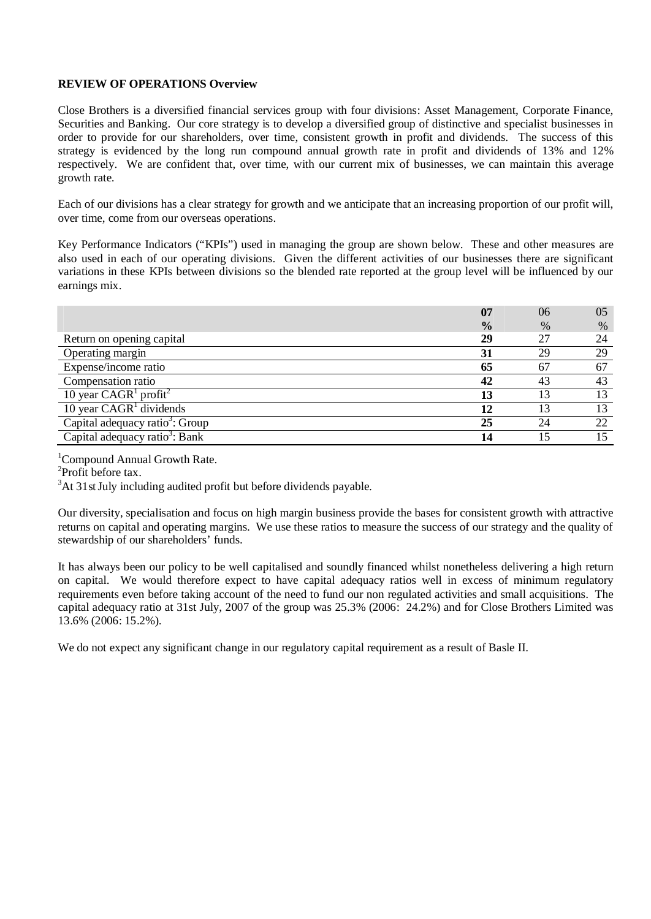#### **REVIEW OF OPERATIONS Overview**

Close Brothers is a diversified financial services group with four divisions: Asset Management, Corporate Finance, Securities and Banking. Our core strategy is to develop a diversified group of distinctive and specialist businesses in order to provide for our shareholders, over time, consistent growth in profit and dividends. The success of this strategy is evidenced by the long run compound annual growth rate in profit and dividends of 13% and 12% respectively. We are confident that, over time, with our current mix of businesses, we can maintain this average growth rate.

Each of our divisions has a clear strategy for growth and we anticipate that an increasing proportion of our profit will, over time, come from our overseas operations.

Key Performance Indicators ("KPIs") used in managing the group are shown below. These and other measures are also used in each of our operating divisions. Given the different activities of our businesses there are significant variations in these KPIs between divisions so the blended rate reported at the group level will be influenced by our earnings mix.

|                                             | 07            | 06   | 05 |
|---------------------------------------------|---------------|------|----|
|                                             | $\frac{0}{0}$ | $\%$ | %  |
| Return on opening capital                   | 29            | 27   | 24 |
| Operating margin                            | 31            | 29   | 29 |
| Expense/income ratio                        | 65            | 67   | 67 |
| Compensation ratio                          | 42            | 43   | 43 |
| 10 year $CAGR1$ profit <sup>2</sup>         | 13            | 13   | 13 |
| 10 year $CAGR1$ dividends                   | 12            | 13   | 13 |
| Capital adequacy ratio <sup>3</sup> : Group | 25            | 24   | 22 |
| Capital adequacy ratio <sup>3</sup> : Bank  | 14            |      |    |

<sup>1</sup>Compound Annual Growth Rate.

2 Profit before tax.

 $3$ At 31st July including audited profit but before dividends payable.

Our diversity, specialisation and focus on high margin business provide the bases for consistent growth with attractive returns on capital and operating margins. We use these ratios to measure the success of our strategy and the quality of stewardship of our shareholders' funds.

It has always been our policy to be well capitalised and soundly financed whilst nonetheless delivering a high return on capital. We would therefore expect to have capital adequacy ratios well in excess of minimum regulatory requirements even before taking account of the need to fund our non regulated activities and small acquisitions. The capital adequacy ratio at 31st July, 2007 of the group was 25.3% (2006: 24.2%) and for Close Brothers Limited was 13.6% (2006: 15.2%).

We do not expect any significant change in our regulatory capital requirement as a result of Basle II.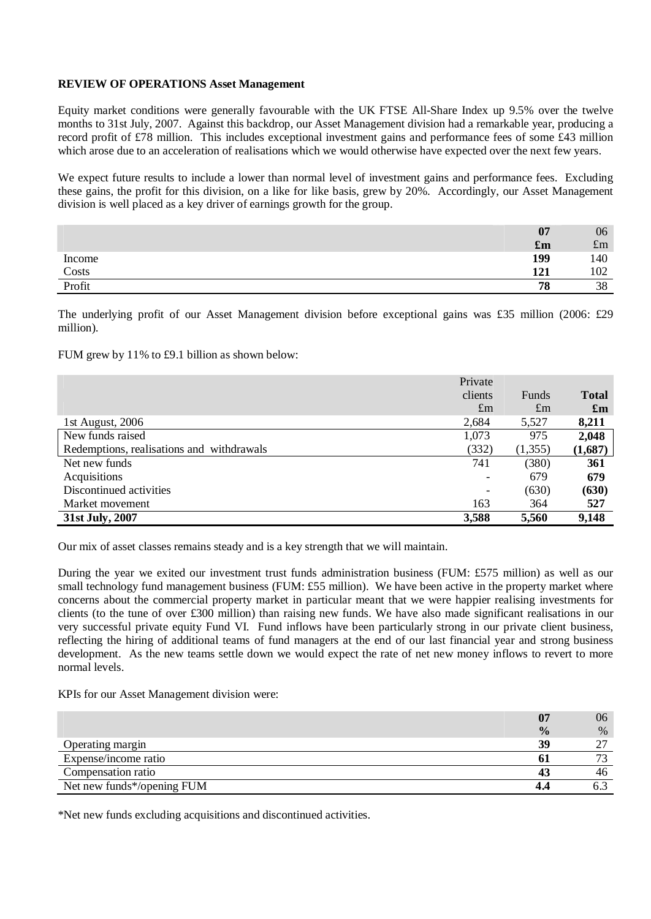#### **REVIEW OF OPERATIONS Asset Management**

Equity market conditions were generally favourable with the UK FTSE All-Share Index up 9.5% over the twelve months to 31st July, 2007. Against this backdrop, our Asset Management division had a remarkable year, producing a record profit of £78 million. This includes exceptional investment gains and performance fees of some £43 million which arose due to an acceleration of realisations which we would otherwise have expected over the next few years.

We expect future results to include a lower than normal level of investment gains and performance fees. Excluding these gains, the profit for this division, on a like for like basis, grew by 20%. Accordingly, our Asset Management division is well placed as a key driver of earnings growth for the group.

|        | 07                        | 06          |
|--------|---------------------------|-------------|
|        | $\mathbf{f}_{\mathbf{m}}$ | $\pounds$ m |
| Income | 199                       | 140         |
| Costs  | 121                       | 102         |
| Profit | 78                        | 38          |

The underlying profit of our Asset Management division before exceptional gains was £35 million (2006: £29 million).

FUM grew by 11% to £9.1 billion as shown below:

|                                           | Private     |              |                           |
|-------------------------------------------|-------------|--------------|---------------------------|
|                                           | clients     | <b>Funds</b> | <b>Total</b>              |
|                                           | $\pounds$ m | $\pounds$ m  | $\mathbf{f}_{\mathbf{m}}$ |
| 1st August, 2006                          | 2,684       | 5,527        | 8,211                     |
| New funds raised                          | 1,073       | 975          | 2,048                     |
| Redemptions, realisations and withdrawals | (332)       | (1,355)      | (1,687)                   |
| Net new funds                             | 741         | (380)        | 361                       |
| Acquisitions                              |             | 679          | 679                       |
| Discontinued activities                   |             | (630)        | (630)                     |
| Market movement                           | 163         | 364          | 527                       |
| 31st July, 2007                           | 3,588       | 5,560        | 9,148                     |

Our mix of asset classes remains steady and is a key strength that we will maintain.

During the year we exited our investment trust funds administration business (FUM: £575 million) as well as our small technology fund management business (FUM: £55 million). We have been active in the property market where concerns about the commercial property market in particular meant that we were happier realising investments for clients (to the tune of over £300 million) than raising new funds. We have also made significant realisations in our very successful private equity Fund VI. Fund inflows have been particularly strong in our private client business, reflecting the hiring of additional teams of fund managers at the end of our last financial year and strong business development. As the new teams settle down we would expect the rate of net new money inflows to revert to more normal levels.

KPIs for our Asset Management division were:

|                            | 07            | 06                       |
|----------------------------|---------------|--------------------------|
|                            | $\frac{0}{0}$ | $\%$                     |
| Operating margin           | 39            |                          |
| Expense/income ratio       |               | $\overline{\phantom{a}}$ |
| Compensation ratio         |               | 46                       |
| Net new funds*/opening FUM |               |                          |

\*Net new funds excluding acquisitions and discontinued activities.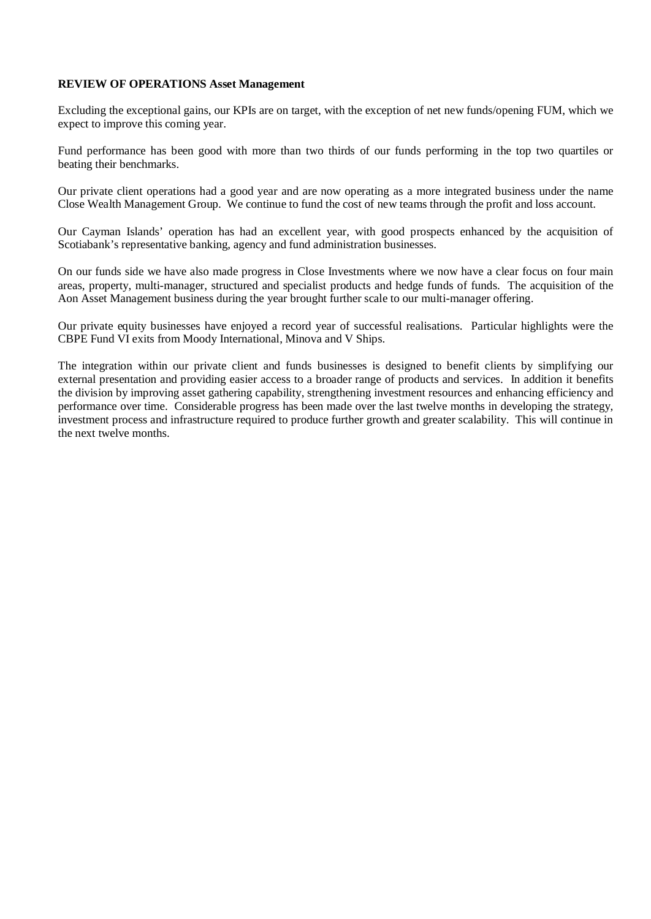#### **REVIEW OF OPERATIONS Asset Management**

Excluding the exceptional gains, our KPIs are on target, with the exception of net new funds/opening FUM, which we expect to improve this coming year.

Fund performance has been good with more than two thirds of our funds performing in the top two quartiles or beating their benchmarks.

Our private client operations had a good year and are now operating as a more integrated business under the name Close Wealth Management Group. We continue to fund the cost of new teams through the profit and loss account.

Our Cayman Islands' operation has had an excellent year, with good prospects enhanced by the acquisition of Scotiabank's representative banking, agency and fund administration businesses.

On our funds side we have also made progress in Close Investments where we now have a clear focus on four main areas, property, multi-manager, structured and specialist products and hedge funds of funds. The acquisition of the Aon Asset Management business during the year brought further scale to our multi-manager offering.

Our private equity businesses have enjoyed a record year of successful realisations. Particular highlights were the CBPE Fund VI exits from Moody International, Minova and V Ships.

The integration within our private client and funds businesses is designed to benefit clients by simplifying our external presentation and providing easier access to a broader range of products and services. In addition it benefits the division by improving asset gathering capability, strengthening investment resources and enhancing efficiency and performance over time. Considerable progress has been made over the last twelve months in developing the strategy, investment process and infrastructure required to produce further growth and greater scalability. This will continue in the next twelve months.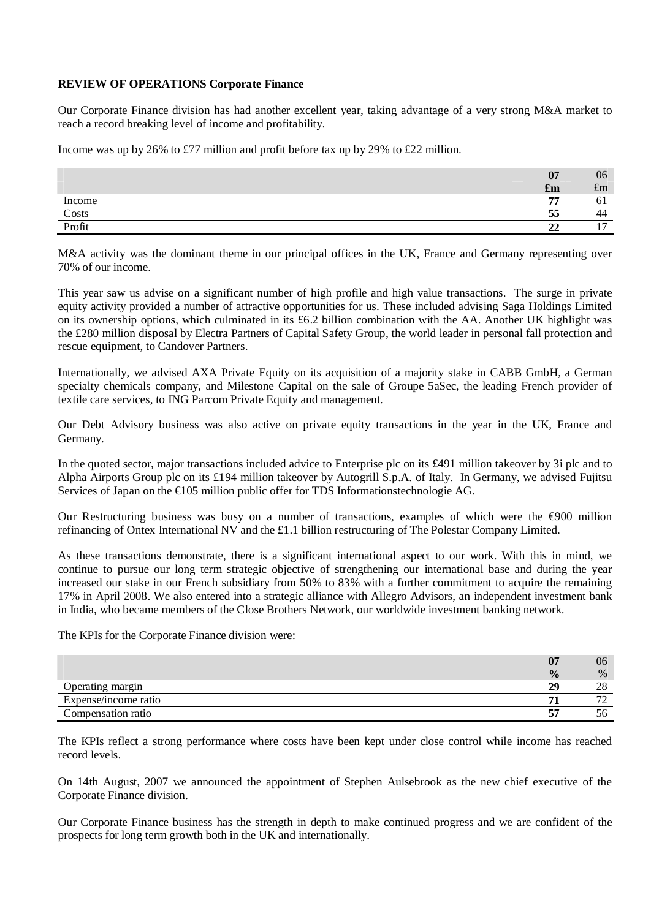#### **REVIEW OF OPERATIONS Corporate Finance**

Our Corporate Finance division has had another excellent year, taking advantage of a very strong M&A market to reach a record breaking level of income and profitability.

Income was up by 26% to £77 million and profit before tax up by 29% to £22 million.

|        | 07                        | 06          |
|--------|---------------------------|-------------|
|        | $\mathbf{f}_{\mathbf{m}}$ | $\pounds$ m |
| Income | 77                        | 01          |
| Costs  | 55                        | 44          |
| Profit | $\mathbf{A}$<br>44        | <b>.</b>    |

M&A activity was the dominant theme in our principal offices in the UK, France and Germany representing over 70% of our income.

This year saw us advise on a significant number of high profile and high value transactions. The surge in private equity activity provided a number of attractive opportunities for us. These included advising Saga Holdings Limited on its ownership options, which culminated in its £6.2 billion combination with the AA. Another UK highlight was the £280 million disposal by Electra Partners of Capital Safety Group, the world leader in personal fall protection and rescue equipment, to Candover Partners.

Internationally, we advised AXA Private Equity on its acquisition of a majority stake in CABB GmbH, a German specialty chemicals company, and Milestone Capital on the sale of Groupe 5aSec, the leading French provider of textile care services, to ING Parcom Private Equity and management.

Our Debt Advisory business was also active on private equity transactions in the year in the UK, France and Germany.

In the quoted sector, major transactions included advice to Enterprise plc on its £491 million takeover by 3i plc and to Alpha Airports Group plc on its £194 million takeover by Autogrill S.p.A. of Italy. In Germany, we advised Fujitsu Services of Japan on the  $\bigoplus$  05 million public offer for TDS Informationstechnologie AG.

Our Restructuring business was busy on a number of transactions, examples of which were the  $\epsilon$ 900 million refinancing of Ontex International NV and the £1.1 billion restructuring of The Polestar Company Limited.

As these transactions demonstrate, there is a significant international aspect to our work. With this in mind, we continue to pursue our long term strategic objective of strengthening our international base and during the year increased our stake in our French subsidiary from 50% to 83% with a further commitment to acquire the remaining 17% in April 2008. We also entered into a strategic alliance with Allegro Advisors, an independent investment bank in India, who became members of the Close Brothers Network, our worldwide investment banking network.

The KPIs for the Corporate Finance division were:

|                      | $\mathbf{A}$<br>v | 06                              |
|----------------------|-------------------|---------------------------------|
|                      | $\frac{0}{0}$     | $\%$                            |
| Operating margin     | 29                | ററ<br>40                        |
| Expense/income ratio |                   | $\overline{\phantom{a}}$<br>. . |
| Compensation ratio   | --                | эb                              |

The KPIs reflect a strong performance where costs have been kept under close control while income has reached record levels.

On 14th August, 2007 we announced the appointment of Stephen Aulsebrook as the new chief executive of the Corporate Finance division.

Our Corporate Finance business has the strength in depth to make continued progress and we are confident of the prospects for long term growth both in the UK and internationally.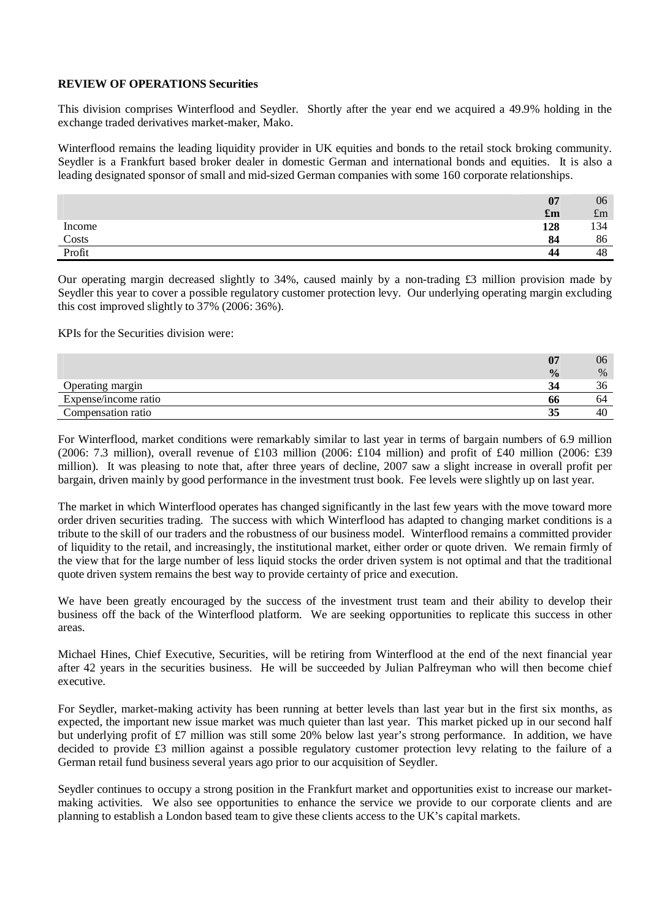#### **REVIEW OF OPERATIONS Securities**

This division comprises Winterflood and Seydler. Shortly after the year end we acquired a 49.9% holding in the exchange traded derivatives market-maker, Mako.

Winterflood remains the leading liquidity provider in UK equities and bonds to the retail stock broking community. Seydler is a Frankfurt based broker dealer in domestic German and international bonds and equities. It is also a leading designated sponsor of small and mid-sized German companies with some 160 corporate relationships.

|        | 07                        | 06          |
|--------|---------------------------|-------------|
|        | $\mathbf{f}_{\mathbf{m}}$ | $\pounds m$ |
| Income | 128                       | 134         |
| Costs  | 84                        | 86          |
| Profit | 44                        | 48          |

Our operating margin decreased slightly to 34%, caused mainly by a non-trading £3 million provision made by Seydler this year to cover a possible regulatory customer protection levy. Our underlying operating margin excluding this cost improved slightly to 37% (2006: 36%).

KPIs for the Securities division were:

|                      | 07            | 06   |
|----------------------|---------------|------|
|                      | $\frac{0}{0}$ | $\%$ |
| Operating margin     | 34            | აი   |
| Expense/income ratio | <b>00</b>     | 04   |
| Compensation ratio   | 35<br>◡       | 40   |

For Winterflood, market conditions were remarkably similar to last year in terms of bargain numbers of 6.9 million (2006: 7.3 million), overall revenue of £103 million (2006: £104 million) and profit of £40 million (2006: £39 million). It was pleasing to note that, after three years of decline, 2007 saw a slight increase in overall profit per bargain, driven mainly by good performance in the investment trust book. Fee levels were slightly up on last year.

The market in which Winterflood operates has changed significantly in the last few years with the move toward more order driven securities trading. The success with which Winterflood has adapted to changing market conditions is a tribute to the skill of our traders and the robustness of our business model. Winterflood remains a committed provider of liquidity to the retail, and increasingly, the institutional market, either order or quote driven. We remain firmly of the view that for the large number of less liquid stocks the order driven system is not optimal and that the traditional quote driven system remains the best way to provide certainty of price and execution.

We have been greatly encouraged by the success of the investment trust team and their ability to develop their business off the back of the Winterflood platform. We are seeking opportunities to replicate this success in other areas.

Michael Hines, Chief Executive, Securities, will be retiring from Winterflood at the end of the next financial year after 42 years in the securities business. He will be succeeded by Julian Palfreyman who will then become chief executive.

For Seydler, market-making activity has been running at better levels than last year but in the first six months, as expected, the important new issue market was much quieter than last year. This market picked up in our second half but underlying profit of £7 million was still some 20% below last year's strong performance. In addition, we have decided to provide £3 million against a possible regulatory customer protection levy relating to the failure of a German retail fund business several years ago prior to our acquisition of Seydler.

Seydler continues to occupy a strong position in the Frankfurt market and opportunities exist to increase our marketmaking activities. We also see opportunities to enhance the service we provide to our corporate clients and are planning to establish a London based team to give these clients access to the UK's capital markets.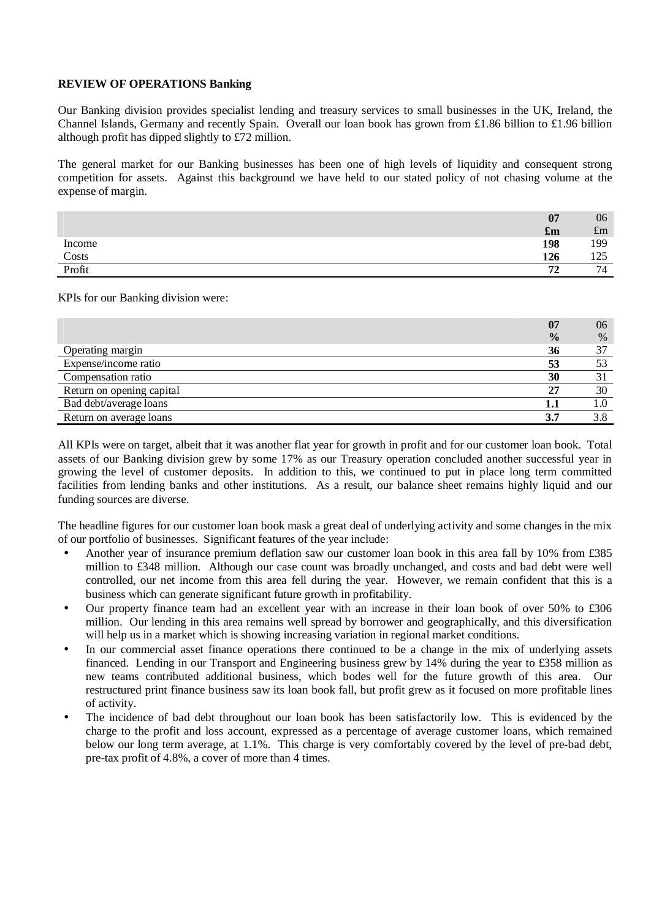#### **REVIEW OF OPERATIONS Banking**

Our Banking division provides specialist lending and treasury services to small businesses in the UK, Ireland, the Channel Islands, Germany and recently Spain. Overall our loan book has grown from £1.86 billion to £1.96 billion although profit has dipped slightly to £72 million.

The general market for our Banking businesses has been one of high levels of liquidity and consequent strong competition for assets. Against this background we have held to our stated policy of not chasing volume at the expense of margin.

|        | 07                        | 06          |
|--------|---------------------------|-------------|
|        | $\mathbf{f}_{\mathbf{m}}$ | $\pounds$ m |
| Income | 198                       | 199         |
| Costs  | 126                       | 1つぐ<br>رے ت |
| Profit | 72                        | 74          |

KPIs for our Banking division were:

|                           | 07            | 06   |
|---------------------------|---------------|------|
|                           | $\frac{0}{0}$ | $\%$ |
| Operating margin          | 36            | 37   |
| Expense/income ratio      | 53            |      |
| Compensation ratio        | 30            |      |
| Return on opening capital | 27            | 30   |
| Bad debt/average loans    | 1.1           | 1.0  |
| Return on average loans   | 3.7           | 3.8  |

All KPIs were on target, albeit that it was another flat year for growth in profit and for our customer loan book. Total assets of our Banking division grew by some 17% as our Treasury operation concluded another successful year in growing the level of customer deposits. In addition to this, we continued to put in place long term committed facilities from lending banks and other institutions. As a result, our balance sheet remains highly liquid and our funding sources are diverse.

The headline figures for our customer loan book mask a great deal of underlying activity and some changes in the mix of our portfolio of businesses. Significant features of the year include:

- Another year of insurance premium deflation saw our customer loan book in this area fall by 10% from £385 million to £348 million. Although our case count was broadly unchanged, and costs and bad debt were well controlled, our net income from this area fell during the year. However, we remain confident that this is a business which can generate significant future growth in profitability.
- Our property finance team had an excellent year with an increase in their loan book of over 50% to £306 million. Our lending in this area remains well spread by borrower and geographically, and this diversification will help us in a market which is showing increasing variation in regional market conditions.
- In our commercial asset finance operations there continued to be a change in the mix of underlying assets financed. Lending in our Transport and Engineering business grew by 14% during the year to £358 million as new teams contributed additional business, which bodes well for the future growth of this area. Our restructured print finance business saw its loan book fall, but profit grew as it focused on more profitable lines of activity.
- The incidence of bad debt throughout our loan book has been satisfactorily low. This is evidenced by the charge to the profit and loss account, expressed as a percentage of average customer loans, which remained below our long term average, at 1.1%. This charge is very comfortably covered by the level of pre-bad debt, pre-tax profit of 4.8%, a cover of more than 4 times.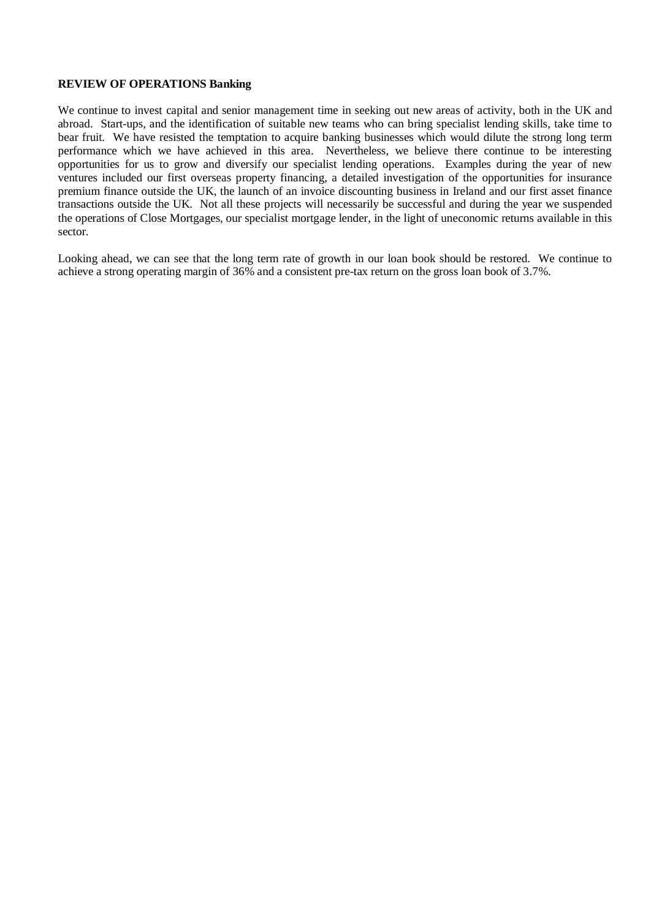#### **REVIEW OF OPERATIONS Banking**

We continue to invest capital and senior management time in seeking out new areas of activity, both in the UK and abroad. Start-ups, and the identification of suitable new teams who can bring specialist lending skills, take time to bear fruit. We have resisted the temptation to acquire banking businesses which would dilute the strong long term performance which we have achieved in this area. Nevertheless, we believe there continue to be interesting opportunities for us to grow and diversify our specialist lending operations. Examples during the year of new ventures included our first overseas property financing, a detailed investigation of the opportunities for insurance premium finance outside the UK, the launch of an invoice discounting business in Ireland and our first asset finance transactions outside the UK. Not all these projects will necessarily be successful and during the year we suspended the operations of Close Mortgages, our specialist mortgage lender, in the light of uneconomic returns available in this sector.

Looking ahead, we can see that the long term rate of growth in our loan book should be restored. We continue to achieve a strong operating margin of 36% and a consistent pre-tax return on the gross loan book of 3.7%.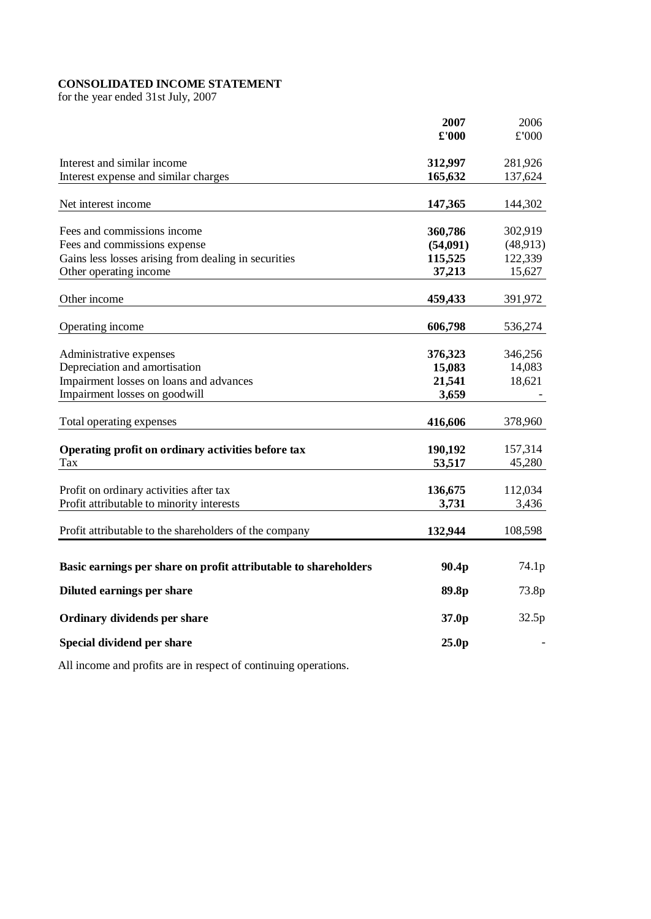# **CONSOLIDATED INCOME STATEMENT**

for the year ended 31st July, 2007

|                                                                 | 2007              | 2006     |
|-----------------------------------------------------------------|-------------------|----------|
|                                                                 | £'000             | £'000    |
| Interest and similar income                                     | 312,997           | 281,926  |
| Interest expense and similar charges                            | 165,632           | 137,624  |
|                                                                 |                   |          |
| Net interest income                                             | 147,365           | 144,302  |
| Fees and commissions income                                     | 360,786           | 302,919  |
| Fees and commissions expense                                    | (54,091)          | (48,913) |
| Gains less losses arising from dealing in securities            | 115,525           | 122,339  |
| Other operating income                                          | 37,213            | 15,627   |
|                                                                 |                   |          |
| Other income                                                    | 459,433           | 391,972  |
| Operating income                                                | 606,798           | 536,274  |
| Administrative expenses                                         | 376,323           | 346,256  |
| Depreciation and amortisation                                   | 15,083            | 14,083   |
| Impairment losses on loans and advances                         | 21,541            | 18,621   |
| Impairment losses on goodwill                                   | 3,659             |          |
|                                                                 |                   |          |
| Total operating expenses                                        | 416,606           | 378,960  |
| Operating profit on ordinary activities before tax              | 190,192           | 157,314  |
| Tax                                                             | 53,517            | 45,280   |
| Profit on ordinary activities after tax                         | 136,675           | 112,034  |
| Profit attributable to minority interests                       | 3,731             | 3,436    |
|                                                                 |                   |          |
| Profit attributable to the shareholders of the company          | 132,944           | 108,598  |
|                                                                 |                   |          |
| Basic earnings per share on profit attributable to shareholders | 90.4p             | 74.1p    |
| Diluted earnings per share                                      | 89.8p             | 73.8p    |
| Ordinary dividends per share                                    | 37.0p             | 32.5p    |
| Special dividend per share                                      | 25.0 <sub>p</sub> |          |

All income and profits are in respect of continuing operations.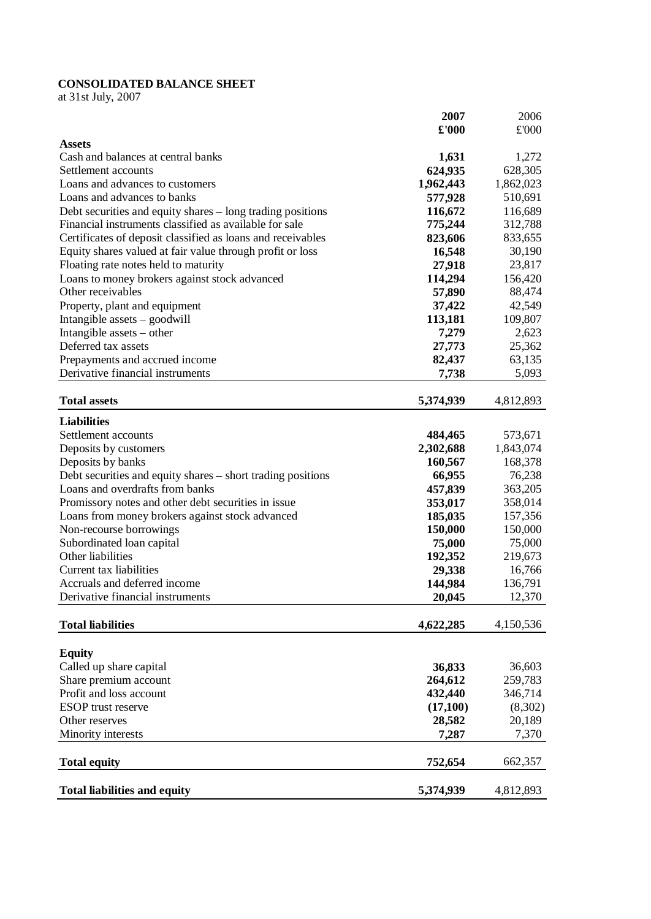# **CONSOLIDATED BALANCE SHEET**

at 31st July, 2007

|                                                                                                | 2007                 | 2006      |
|------------------------------------------------------------------------------------------------|----------------------|-----------|
|                                                                                                | $\pmb{\pounds}$ '000 | £'000     |
| <b>Assets</b>                                                                                  |                      |           |
| Cash and balances at central banks                                                             | 1,631                | 1,272     |
| Settlement accounts                                                                            | 624,935              | 628,305   |
| Loans and advances to customers                                                                | 1,962,443            | 1,862,023 |
| Loans and advances to banks                                                                    | 577,928              | 510,691   |
| Debt securities and equity shares – long trading positions                                     | 116,672              | 116,689   |
| Financial instruments classified as available for sale                                         | 775,244              | 312,788   |
| Certificates of deposit classified as loans and receivables                                    | 823,606              | 833,655   |
| Equity shares valued at fair value through profit or loss                                      | 16,548               | 30,190    |
| Floating rate notes held to maturity                                                           | 27,918               | 23,817    |
| Loans to money brokers against stock advanced                                                  | 114,294              | 156,420   |
| Other receivables                                                                              | 57,890               | 88,474    |
| Property, plant and equipment                                                                  | 37,422               | 42,549    |
| Intangible assets - goodwill                                                                   | 113,181              | 109,807   |
| Intangible assets – other                                                                      | 7,279                | 2,623     |
| Deferred tax assets                                                                            | 27,773               | 25,362    |
| Prepayments and accrued income                                                                 | 82,437               | 63,135    |
| Derivative financial instruments                                                               | 7,738                | 5,093     |
|                                                                                                |                      |           |
| <b>Total assets</b>                                                                            | 5,374,939            | 4,812,893 |
| <b>Liabilities</b>                                                                             |                      |           |
| Settlement accounts                                                                            | 484,465              | 573,671   |
| Deposits by customers                                                                          | 2,302,688            | 1,843,074 |
| Deposits by banks                                                                              | 160,567              | 168,378   |
|                                                                                                |                      |           |
| Debt securities and equity shares – short trading positions<br>Loans and overdrafts from banks | 66,955               | 76,238    |
|                                                                                                | 457,839              | 363,205   |
| Promissory notes and other debt securities in issue                                            | 353,017              | 358,014   |
| Loans from money brokers against stock advanced                                                | 185,035              | 157,356   |
| Non-recourse borrowings                                                                        | 150,000              | 150,000   |
| Subordinated loan capital                                                                      | 75,000               | 75,000    |
| Other liabilities                                                                              | 192,352              | 219,673   |
| Current tax liabilities                                                                        | 29,338               | 16,766    |
| Accruals and deferred income                                                                   | 144,984              | 136,791   |
| Derivative financial instruments                                                               | 20,045               | 12,370    |
| <b>Total liabilities</b>                                                                       | 4,622,285            | 4,150,536 |
|                                                                                                |                      |           |
| <b>Equity</b>                                                                                  |                      |           |
| Called up share capital                                                                        | 36,833               | 36,603    |
| Share premium account                                                                          | 264,612              | 259,783   |
| Profit and loss account                                                                        | 432,440              | 346,714   |
| <b>ESOP</b> trust reserve                                                                      | (17,100)             | (8,302)   |
| Other reserves                                                                                 | 28,582               | 20,189    |
| Minority interests                                                                             | 7,287                | 7,370     |
|                                                                                                |                      |           |
| <b>Total equity</b>                                                                            | 752,654              | 662,357   |
|                                                                                                |                      |           |
| <b>Total liabilities and equity</b>                                                            | 5,374,939            | 4,812,893 |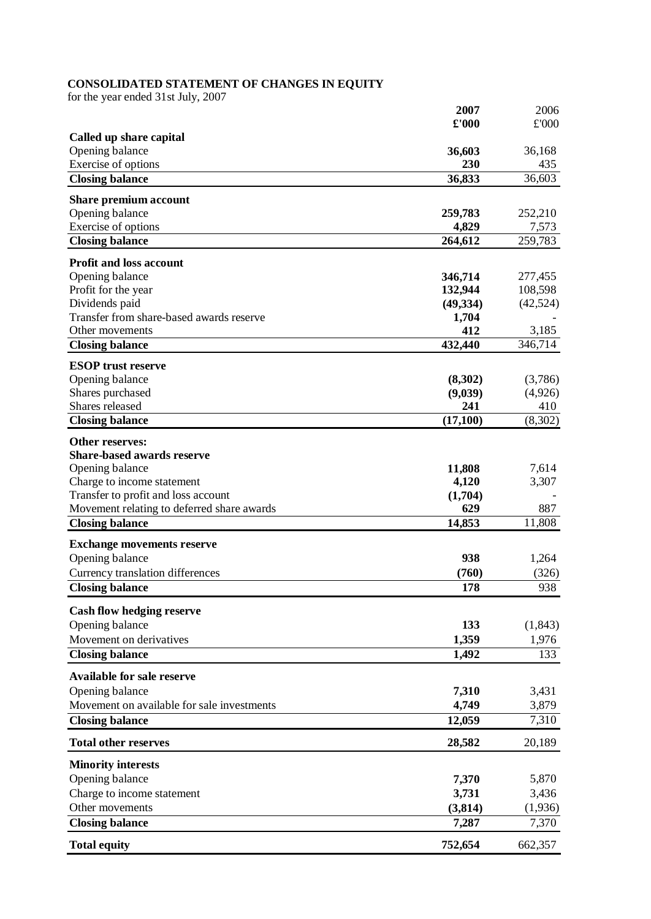#### **CONSOLIDATED STATEMENT OF CHANGES IN EQUITY**

for the year ended 31st July, 2007

|                                                            | 2007               | 2006             |
|------------------------------------------------------------|--------------------|------------------|
|                                                            | £'000              | £'000            |
| Called up share capital                                    |                    |                  |
| Opening balance                                            | 36,603             | 36,168           |
| Exercise of options                                        | 230                | 435              |
| <b>Closing balance</b>                                     | 36,833             | 36,603           |
| Share premium account                                      |                    |                  |
| Opening balance                                            | 259,783            | 252,210          |
| Exercise of options                                        | 4,829<br>264,612   | 7,573<br>259,783 |
| <b>Closing balance</b>                                     |                    |                  |
| <b>Profit and loss account</b>                             |                    |                  |
| Opening balance                                            | 346,714            | 277,455          |
| Profit for the year                                        | 132,944            | 108,598          |
| Dividends paid<br>Transfer from share-based awards reserve | (49, 334)<br>1,704 | (42,524)         |
| Other movements                                            | 412                | 3,185            |
| <b>Closing balance</b>                                     | 432,440            | 346,714          |
|                                                            |                    |                  |
| <b>ESOP</b> trust reserve<br>Opening balance               | (8,302)            | (3,786)          |
| Shares purchased                                           | (9,039)            | (4,926)          |
| Shares released                                            | 241                | 410              |
| <b>Closing balance</b>                                     | (17,100)           | (8,302)          |
| Other reserves:                                            |                    |                  |
| <b>Share-based awards reserve</b>                          |                    |                  |
| Opening balance                                            | 11,808             | 7,614            |
| Charge to income statement                                 | 4,120              | 3,307            |
| Transfer to profit and loss account                        | (1,704)            |                  |
| Movement relating to deferred share awards                 | 629                | 887              |
| <b>Closing balance</b>                                     | 14,853             | 11,808           |
| <b>Exchange movements reserve</b>                          |                    |                  |
| Opening balance                                            | 938                | 1,264            |
| Currency translation differences                           | (760)              | (326)            |
| <b>Closing balance</b>                                     | 178                | 938              |
| <b>Cash flow hedging reserve</b>                           |                    |                  |
| Opening balance                                            | 133                | (1, 843)         |
| Movement on derivatives                                    | 1,359              | 1,976            |
| <b>Closing balance</b>                                     | 1,492              | 133              |
| <b>Available for sale reserve</b>                          |                    |                  |
| Opening balance                                            | 7,310              | 3,431            |
| Movement on available for sale investments                 | 4,749              | 3,879            |
| <b>Closing balance</b>                                     | 12,059             | 7,310            |
| <b>Total other reserves</b>                                | 28,582             | 20,189           |
| <b>Minority interests</b>                                  |                    |                  |
| Opening balance                                            | 7,370              | 5,870            |
| Charge to income statement                                 | 3,731              | 3,436            |
| Other movements                                            | (3,814)            | (1,936)          |
| <b>Closing balance</b>                                     | 7,287              | 7,370            |
| <b>Total equity</b>                                        | 752,654            | 662,357          |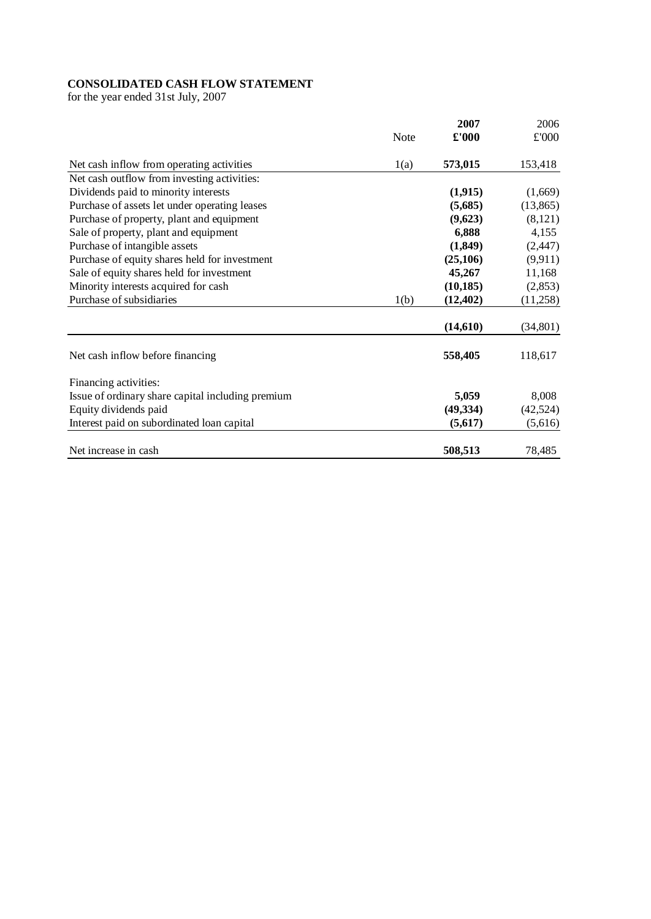# **CONSOLIDATED CASH FLOW STATEMENT**

for the year ended 31st July, 2007

|                                                   |             | 2007          | 2006      |
|---------------------------------------------------|-------------|---------------|-----------|
|                                                   | <b>Note</b> | $\pounds 000$ | £'000     |
| Net cash inflow from operating activities         | 1(a)        | 573,015       | 153,418   |
| Net cash outflow from investing activities:       |             |               |           |
| Dividends paid to minority interests              |             | (1,915)       | (1,669)   |
| Purchase of assets let under operating leases     |             | (5,685)       | (13, 865) |
| Purchase of property, plant and equipment         |             | (9,623)       | (8,121)   |
| Sale of property, plant and equipment             |             | 6,888         | 4,155     |
| Purchase of intangible assets                     |             | (1,849)       | (2, 447)  |
| Purchase of equity shares held for investment     |             | (25, 106)     | (9,911)   |
| Sale of equity shares held for investment         |             | 45,267        | 11,168    |
| Minority interests acquired for cash              |             | (10, 185)     | (2,853)   |
| Purchase of subsidiaries                          | 1(b)        | (12, 402)     | (11,258)  |
|                                                   |             | (14,610)      | (34, 801) |
| Net cash inflow before financing                  |             | 558,405       | 118,617   |
| Financing activities:                             |             |               |           |
| Issue of ordinary share capital including premium |             | 5,059         | 8,008     |
| Equity dividends paid                             |             | (49, 334)     | (42,524)  |
| Interest paid on subordinated loan capital        |             | (5,617)       | (5,616)   |
| Net increase in cash                              |             | 508,513       | 78,485    |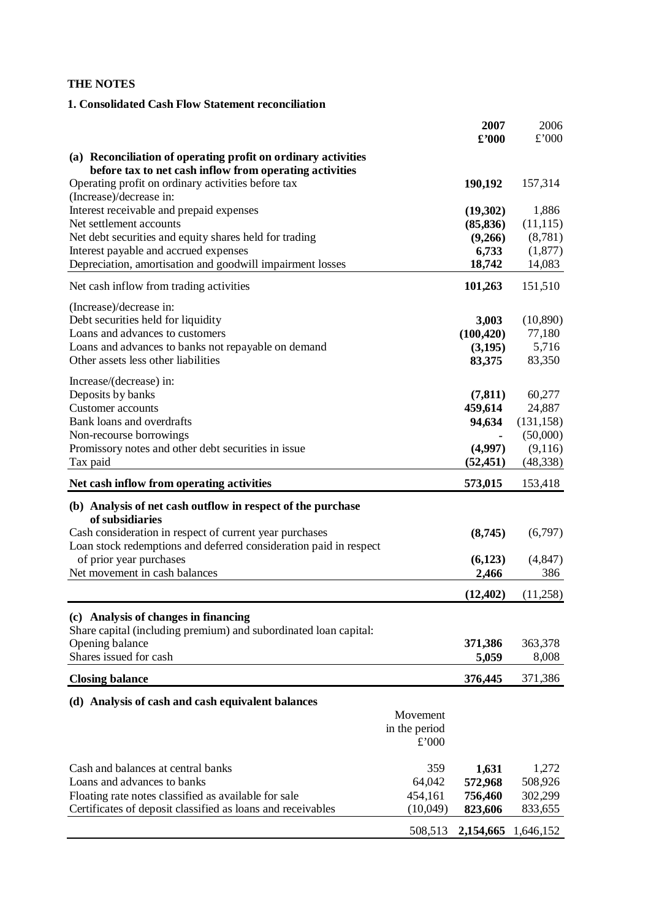## **THE NOTES**

## **1. Consolidated Cash Flow Statement reconciliation**

|                                                                               |               | 2007<br>$\pmb{\pounds}^{\prime}000$ | 2006<br>£'000 |
|-------------------------------------------------------------------------------|---------------|-------------------------------------|---------------|
| (a) Reconciliation of operating profit on ordinary activities                 |               |                                     |               |
| before tax to net cash inflow from operating activities                       |               |                                     |               |
| Operating profit on ordinary activities before tax<br>(Increase)/decrease in: |               | 190,192                             | 157,314       |
| Interest receivable and prepaid expenses                                      |               | (19,302)                            | 1,886         |
| Net settlement accounts                                                       |               | (85, 836)                           | (11, 115)     |
| Net debt securities and equity shares held for trading                        |               | (9,266)                             | (8,781)       |
| Interest payable and accrued expenses                                         |               | 6,733                               | (1,877)       |
| Depreciation, amortisation and goodwill impairment losses                     |               | 18,742                              | 14,083        |
| Net cash inflow from trading activities                                       |               | 101,263                             | 151,510       |
| (Increase)/decrease in:                                                       |               |                                     |               |
| Debt securities held for liquidity                                            |               | 3,003                               | (10,890)      |
| Loans and advances to customers                                               |               | (100, 420)                          | 77,180        |
| Loans and advances to banks not repayable on demand                           |               | (3,195)                             | 5,716         |
| Other assets less other liabilities                                           |               | 83,375                              | 83,350        |
| Increase/(decrease) in:                                                       |               |                                     |               |
| Deposits by banks                                                             |               | (7, 811)                            | 60,277        |
| <b>Customer</b> accounts                                                      |               | 459,614                             | 24,887        |
| Bank loans and overdrafts                                                     |               | 94,634                              | (131, 158)    |
| Non-recourse borrowings                                                       |               |                                     | (50,000)      |
| Promissory notes and other debt securities in issue                           |               | (4,997)                             | (9,116)       |
| Tax paid                                                                      |               | (52, 451)                           | (48, 338)     |
| Net cash inflow from operating activities                                     |               | 573,015                             | 153,418       |
| (b) Analysis of net cash outflow in respect of the purchase                   |               |                                     |               |
| of subsidiaries                                                               |               |                                     |               |
| Cash consideration in respect of current year purchases                       |               | (8,745)                             | (6,797)       |
| Loan stock redemptions and deferred consideration paid in respect             |               |                                     |               |
| of prior year purchases                                                       |               | (6,123)                             | (4, 847)      |
| Net movement in cash balances                                                 |               | 2,466                               | 386           |
|                                                                               |               | (12, 402)                           | (11,258)      |
|                                                                               |               |                                     |               |
| (c) Analysis of changes in financing                                          |               |                                     |               |
| Share capital (including premium) and subordinated loan capital:              |               |                                     |               |
| Opening balance                                                               |               | 371,386                             | 363,378       |
| Shares issued for cash                                                        |               | 5,059                               | 8,008         |
| <b>Closing balance</b>                                                        |               | 376,445                             | 371,386       |
| (d) Analysis of cash and cash equivalent balances                             |               |                                     |               |
|                                                                               | Movement      |                                     |               |
|                                                                               | in the period |                                     |               |
|                                                                               | £'000         |                                     |               |
| Cash and balances at central banks                                            | 359           | 1,631                               | 1,272         |
| Loans and advances to banks                                                   | 64,042        | 572,968                             | 508,926       |
| Floating rate notes classified as available for sale                          | 454,161       | 756,460                             | 302,299       |
| Certificates of deposit classified as loans and receivables                   | (10,049)      | 823,606                             | 833,655       |
|                                                                               |               |                                     |               |
|                                                                               | 508,513       | 2,154,665                           | 1,646,152     |